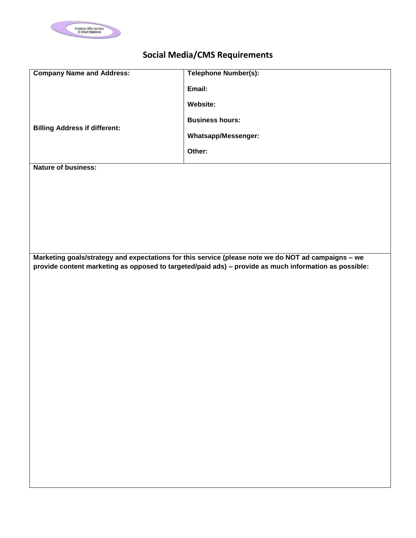

## **Social Media/CMS Requirements**

| <b>Company Name and Address:</b>     | Telephone Number(s):                                                                                  |
|--------------------------------------|-------------------------------------------------------------------------------------------------------|
|                                      |                                                                                                       |
|                                      | Email:                                                                                                |
|                                      |                                                                                                       |
|                                      | <b>Website:</b>                                                                                       |
|                                      | <b>Business hours:</b>                                                                                |
| <b>Billing Address if different:</b> |                                                                                                       |
|                                      | <b>Whatsapp/Messenger:</b>                                                                            |
|                                      |                                                                                                       |
|                                      | Other:                                                                                                |
|                                      |                                                                                                       |
| <b>Nature of business:</b>           |                                                                                                       |
|                                      |                                                                                                       |
|                                      |                                                                                                       |
|                                      |                                                                                                       |
|                                      |                                                                                                       |
|                                      |                                                                                                       |
|                                      |                                                                                                       |
|                                      |                                                                                                       |
|                                      |                                                                                                       |
|                                      |                                                                                                       |
|                                      |                                                                                                       |
|                                      |                                                                                                       |
|                                      | Marketing goals/strategy and expectations for this service (please note we do NOT ad campaigns - we   |
|                                      | provide content marketing as opposed to targeted/paid ads) - provide as much information as possible: |
|                                      |                                                                                                       |
|                                      |                                                                                                       |
|                                      |                                                                                                       |
|                                      |                                                                                                       |
|                                      |                                                                                                       |
|                                      |                                                                                                       |
|                                      |                                                                                                       |
|                                      |                                                                                                       |
|                                      |                                                                                                       |
|                                      |                                                                                                       |
|                                      |                                                                                                       |
|                                      |                                                                                                       |
|                                      |                                                                                                       |
|                                      |                                                                                                       |
|                                      |                                                                                                       |
|                                      |                                                                                                       |
|                                      |                                                                                                       |
|                                      |                                                                                                       |
|                                      |                                                                                                       |
|                                      |                                                                                                       |
|                                      |                                                                                                       |
|                                      |                                                                                                       |
|                                      |                                                                                                       |
|                                      |                                                                                                       |
|                                      |                                                                                                       |
|                                      |                                                                                                       |
|                                      |                                                                                                       |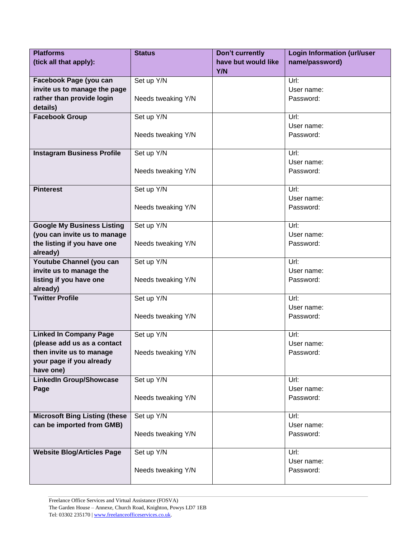| <b>Platforms</b>                     | <b>Status</b>      | Don't currently     | <b>Login Information (url/user</b> |
|--------------------------------------|--------------------|---------------------|------------------------------------|
| (tick all that apply):               |                    | have but would like | name/password)                     |
|                                      |                    | <b>Y/N</b>          |                                    |
| Facebook Page (you can               | Set up Y/N         |                     | Url:                               |
| invite us to manage the page         |                    |                     | User name:                         |
| rather than provide login            | Needs tweaking Y/N |                     | Password:                          |
| details)                             |                    |                     |                                    |
| <b>Facebook Group</b>                | Set up Y/N         |                     | Url:                               |
|                                      |                    |                     | User name:                         |
|                                      | Needs tweaking Y/N |                     | Password:                          |
|                                      |                    |                     |                                    |
| <b>Instagram Business Profile</b>    | Set up Y/N         |                     | Url:                               |
|                                      |                    |                     | User name:                         |
|                                      | Needs tweaking Y/N |                     | Password:                          |
|                                      |                    |                     |                                    |
| <b>Pinterest</b>                     | Set up Y/N         |                     | Url:                               |
|                                      |                    |                     | User name:                         |
|                                      | Needs tweaking Y/N |                     | Password:                          |
|                                      |                    |                     |                                    |
| <b>Google My Business Listing</b>    | Set up Y/N         |                     | Url:                               |
| (you can invite us to manage         |                    |                     | User name:                         |
| the listing if you have one          | Needs tweaking Y/N |                     | Password:                          |
| already)                             |                    |                     |                                    |
| Youtube Channel (you can             | Set up Y/N         |                     | Url:                               |
| invite us to manage the              |                    |                     | User name:                         |
| listing if you have one              | Needs tweaking Y/N |                     | Password:                          |
| already)                             |                    |                     |                                    |
| <b>Twitter Profile</b>               | Set up Y/N         |                     | Url:                               |
|                                      |                    |                     | User name:                         |
|                                      | Needs tweaking Y/N |                     | Password:                          |
|                                      |                    |                     |                                    |
| <b>Linked In Company Page</b>        | Set up Y/N         |                     | Url:                               |
| (please add us as a contact          |                    |                     | User name:                         |
| then invite us to manage             | Needs tweaking Y/N |                     | Password:                          |
| your page if you already             |                    |                     |                                    |
| have one)                            |                    |                     |                                    |
| <b>LinkedIn Group/Showcase</b>       | Set up Y/N         |                     | Url:                               |
| Page                                 |                    |                     | User name:                         |
|                                      | Needs tweaking Y/N |                     | Password:                          |
|                                      |                    |                     |                                    |
| <b>Microsoft Bing Listing (these</b> | Set up Y/N         |                     | Url:                               |
| can be imported from GMB)            |                    |                     | User name:                         |
|                                      | Needs tweaking Y/N |                     | Password:                          |
|                                      |                    |                     |                                    |
| <b>Website Blog/Articles Page</b>    | Set up Y/N         |                     | Url:                               |
|                                      |                    |                     | User name:                         |
|                                      | Needs tweaking Y/N |                     | Password:                          |
|                                      |                    |                     |                                    |